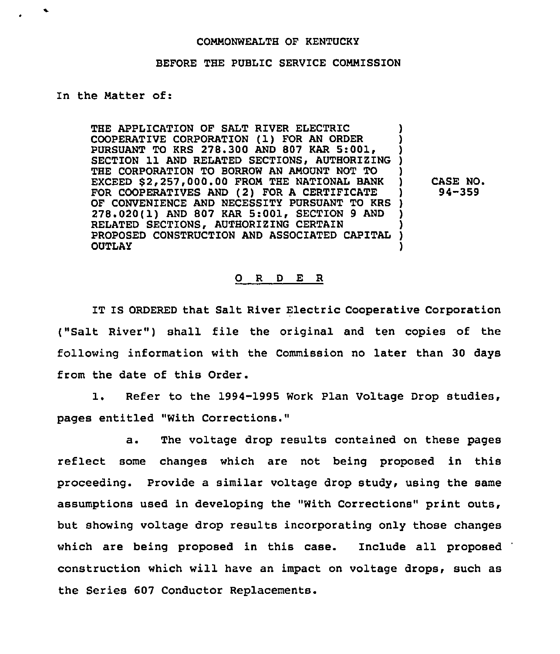## COMMONWEALTH OF KENTUCKY

## BEFORE THE PUBLIC SERVICE COMMISSION

## In the Matter of:

THE APPLICATION OF SALT RIVER ELECTRIC COOPERATIVE CORPORATION (1) FOR AN ORDER ) PURSUANT TO KRS 278.300 AND 807 KAR 5:001, SECTION 11 AND RELATED SECTIONS, AUTHORIZING ) THE CORPORATION TO BORROW AN AMOUNT NOT TO ) EXCEED \$2,257,000.00 FROM THE NATIONAL BANK FOR COOPERATIVES AND (2) FOR A CERTIFICATE OF CONVENIENCE AND NECESSITY PURSUANT TO KRS 278.020(1) AND 807 KAR 5:001, SECTION 9 AND RELATED SECTIONS, AUTHORIZING CERTAIN (1995)<br>PROPOSED CONSTRUCTION AND ASSOCIATED CAPITAL (1996) PROPOSED CONSTRUCTION AND ASSOCIATED CAPITAL ) OUTLAY )

CASE NO. 94-359

## 0 <sup>R</sup> <sup>D</sup> E R

IT IS ORDERED that Salt River Electric Cooperative Corporation ("Salt River") shall file the original and ten copies of the following information with the Commission no later than 30 days from the date of this Order.

1. Refer to the 1994-1995 Work Plan Voltage Drop studies, pages entitled "With Corrections."

a. The voltage drop results contained on these pages reflect some changes which are not being proposed in this proceeding. Provide a similar voltage drop study, using the same assumptions used in developing the "With Corrections" print outs, but showing voltage drop results incorporating only those changes which are being proposed in this case. Include all proposed construction which will have an impact on voltage drops, such as the Series 607 Conductor Replacements.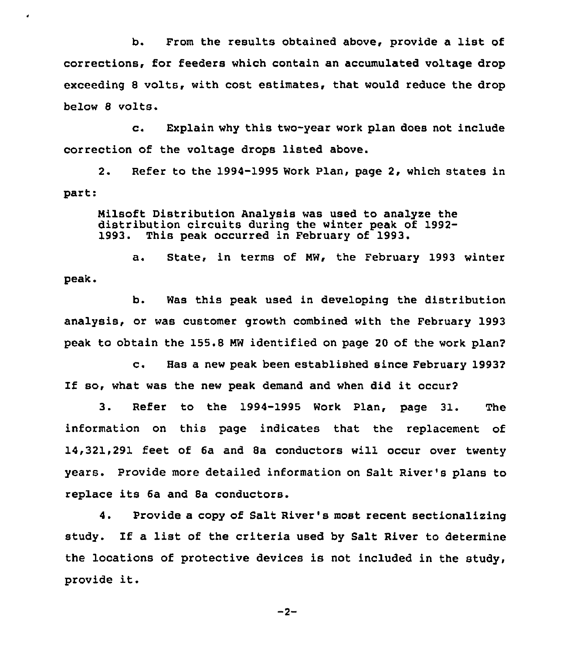b. From the results obtained above, provide <sup>a</sup> list of corrections, for feeders which contain an accumulated voltage drop exceeding 8 volts, with cost estimates, that would reduce the drop below 8 volts.

٠

c. Explain why this two-year work plan does not include correction of the voltage drops listed above.

2. Refer to the 1994-1995 Work Plan, page 2, which states in part:

Nilsoft Distribution Analysis was used to analyze the distribution circuits during the winter peak of 1992- 1993. This peak occurred in February of 1993.

a. State, in terms of NW, the February 1993 winter peak.

b. Was this peak used in developing the distribution analysis, or was customer growth combined with the February 1993 peak to obtain the 155.8 NW identified on page 20 of the work plan2

c. Has <sup>a</sup> new peak been established since February <sup>19932</sup> If so, what was the new peak demand and when did it occur2

3. Refer to the 1994-1995 Work Plan, page 31. The information on this page indicates that the replacement of 14,321,291 feet of 6a and Sa conductors will occur over twenty years. Provide more detailed information on Salt River's plans to replace its 6a and 8a conductors.

4. Provide a copy of Salt River's most recent sectionalizing study. If <sup>a</sup> list of the criteria used by Salt River to determine the locations of protective devices is not included in the study, provide it.

 $-2-$